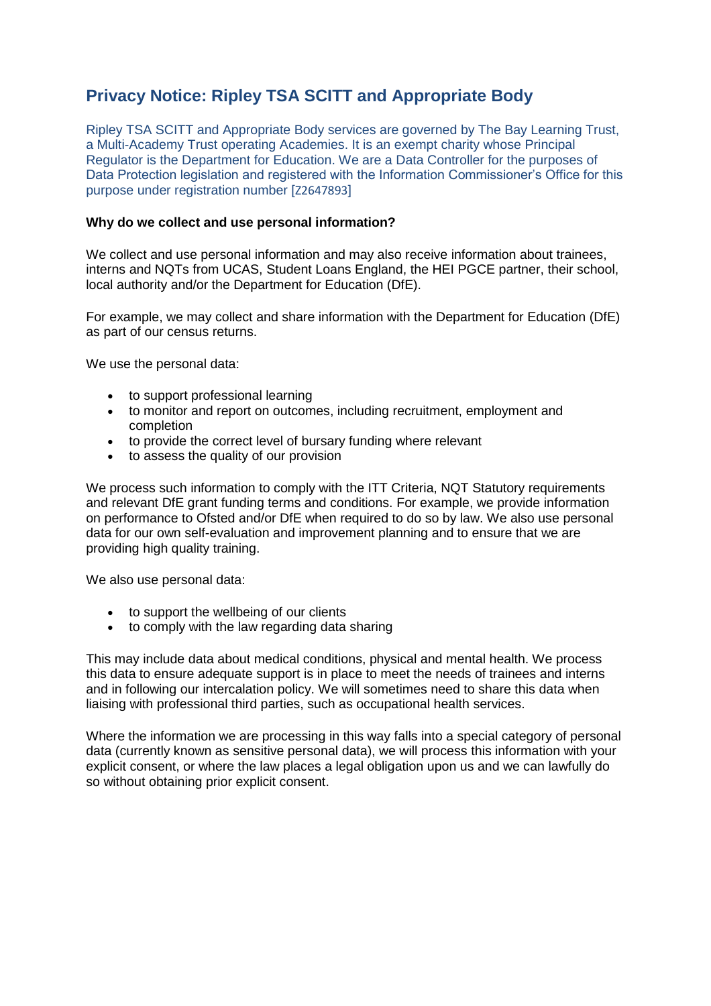# **Privacy Notice: Ripley TSA SCITT and Appropriate Body**

Ripley TSA SCITT and Appropriate Body services are governed by The Bay Learning Trust, a Multi-Academy Trust operating Academies. It is an exempt charity whose Principal Regulator is the Department for Education. We are a Data Controller for the purposes of Data Protection legislation and registered with the Information Commissioner's Office for this purpose under registration number [Z2647893]

## **Why do we collect and use personal information?**

We collect and use personal information and may also receive information about trainees, interns and NQTs from UCAS, Student Loans England, the HEI PGCE partner, their school, local authority and/or the Department for Education (DfE).

For example, we may collect and share information with the Department for Education (DfE) as part of our census returns.

We use the personal data:

- to support professional learning
- to monitor and report on outcomes, including recruitment, employment and completion
- to provide the correct level of bursary funding where relevant
- to assess the quality of our provision

We process such information to comply with the ITT Criteria, NQT Statutory requirements and relevant DfE grant funding terms and conditions. For example, we provide information on performance to Ofsted and/or DfE when required to do so by law. We also use personal data for our own self-evaluation and improvement planning and to ensure that we are providing high quality training.

We also use personal data:

- to support the wellbeing of our clients
- to comply with the law regarding data sharing

This may include data about medical conditions, physical and mental health. We process this data to ensure adequate support is in place to meet the needs of trainees and interns and in following our intercalation policy. We will sometimes need to share this data when liaising with professional third parties, such as occupational health services.

Where the information we are processing in this way falls into a special category of personal data (currently known as sensitive personal data), we will process this information with your explicit consent, or where the law places a legal obligation upon us and we can lawfully do so without obtaining prior explicit consent.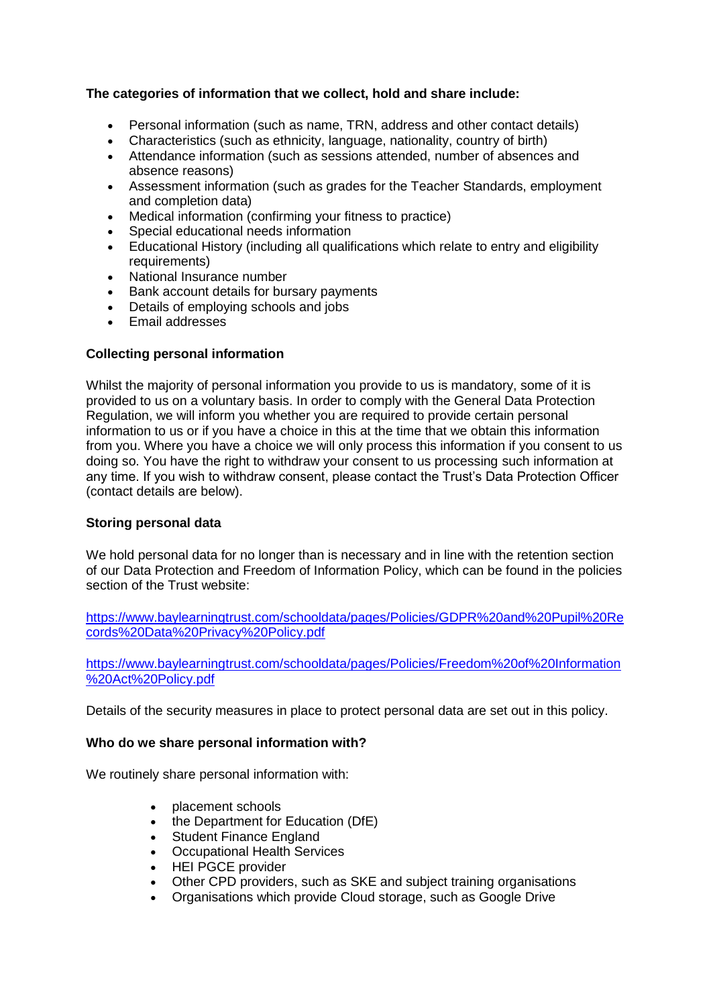# **The categories of information that we collect, hold and share include:**

- Personal information (such as name, TRN, address and other contact details)
- Characteristics (such as ethnicity, language, nationality, country of birth)
- Attendance information (such as sessions attended, number of absences and absence reasons)
- Assessment information (such as grades for the Teacher Standards, employment and completion data)
- Medical information (confirming your fitness to practice)
- Special educational needs information
- Educational History (including all qualifications which relate to entry and eligibility requirements)
- National Insurance number
- Bank account details for bursary payments
- Details of employing schools and jobs
- Email addresses

## **Collecting personal information**

Whilst the majority of personal information you provide to us is mandatory, some of it is provided to us on a voluntary basis. In order to comply with the General Data Protection Regulation, we will inform you whether you are required to provide certain personal information to us or if you have a choice in this at the time that we obtain this information from you. Where you have a choice we will only process this information if you consent to us doing so. You have the right to withdraw your consent to us processing such information at any time. If you wish to withdraw consent, please contact the Trust's Data Protection Officer (contact details are below).

## **Storing personal data**

We hold personal data for no longer than is necessary and in line with the retention section of our Data Protection and Freedom of Information Policy, which can be found in the policies section of the Trust website:

[https://www.baylearningtrust.com/schooldata/pages/Policies/GDPR%20and%20Pupil%20Re](https://www.baylearningtrust.com/schooldata/pages/Policies/GDPR%20and%20Pupil%20Records%20Data%20Privacy%20Policy.pdf) [cords%20Data%20Privacy%20Policy.pdf](https://www.baylearningtrust.com/schooldata/pages/Policies/GDPR%20and%20Pupil%20Records%20Data%20Privacy%20Policy.pdf)

[https://www.baylearningtrust.com/schooldata/pages/Policies/Freedom%20of%20Information](https://www.baylearningtrust.com/schooldata/pages/Policies/Freedom%20of%20Information%20Act%20Policy.pdf) [%20Act%20Policy.pdf](https://www.baylearningtrust.com/schooldata/pages/Policies/Freedom%20of%20Information%20Act%20Policy.pdf)

Details of the security measures in place to protect personal data are set out in this policy.

## **Who do we share personal information with?**

We routinely share personal information with:

- placement schools
- the Department for Education (DfE)
- Student Finance England
- Occupational Health Services
- HEI PGCE provider
- Other CPD providers, such as SKE and subject training organisations
- Organisations which provide Cloud storage, such as Google Drive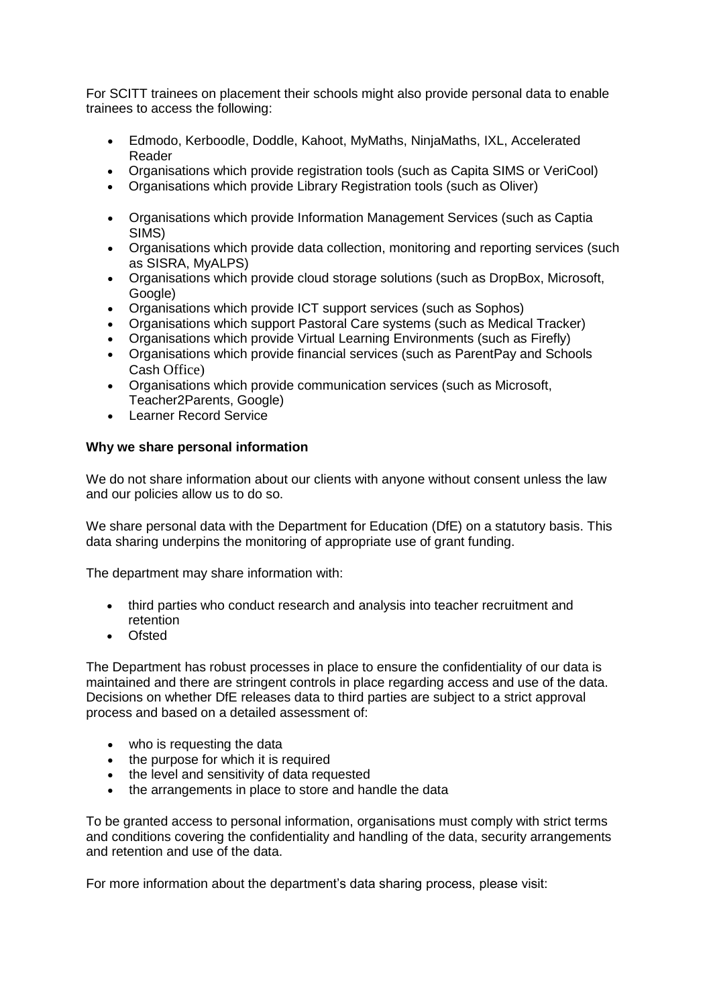For SCITT trainees on placement their schools might also provide personal data to enable trainees to access the following:

- Edmodo, Kerboodle, Doddle, Kahoot, MyMaths, NinjaMaths, IXL, Accelerated Reader
- Organisations which provide registration tools (such as Capita SIMS or VeriCool)
- Organisations which provide Library Registration tools (such as Oliver)
- Organisations which provide Information Management Services (such as Captia SIMS)
- Organisations which provide data collection, monitoring and reporting services (such as SISRA, MyALPS)
- Organisations which provide cloud storage solutions (such as DropBox, Microsoft, Google)
- Organisations which provide ICT support services (such as Sophos)
- Organisations which support Pastoral Care systems (such as Medical Tracker)
- Organisations which provide Virtual Learning Environments (such as Firefly)
- Organisations which provide financial services (such as ParentPay and Schools Cash Office)
- Organisations which provide communication services (such as Microsoft, Teacher2Parents, Google)
- Learner Record Service

## **Why we share personal information**

We do not share information about our clients with anyone without consent unless the law and our policies allow us to do so.

We share personal data with the Department for Education (DfE) on a statutory basis. This data sharing underpins the monitoring of appropriate use of grant funding.

The department may share information with:

- third parties who conduct research and analysis into teacher recruitment and retention
- Ofsted

The Department has robust processes in place to ensure the confidentiality of our data is maintained and there are stringent controls in place regarding access and use of the data. Decisions on whether DfE releases data to third parties are subject to a strict approval process and based on a detailed assessment of:

- who is requesting the data
- the purpose for which it is required
- the level and sensitivity of data requested
- the arrangements in place to store and handle the data

To be granted access to personal information, organisations must comply with strict terms and conditions covering the confidentiality and handling of the data, security arrangements and retention and use of the data.

For more information about the department's data sharing process, please visit: